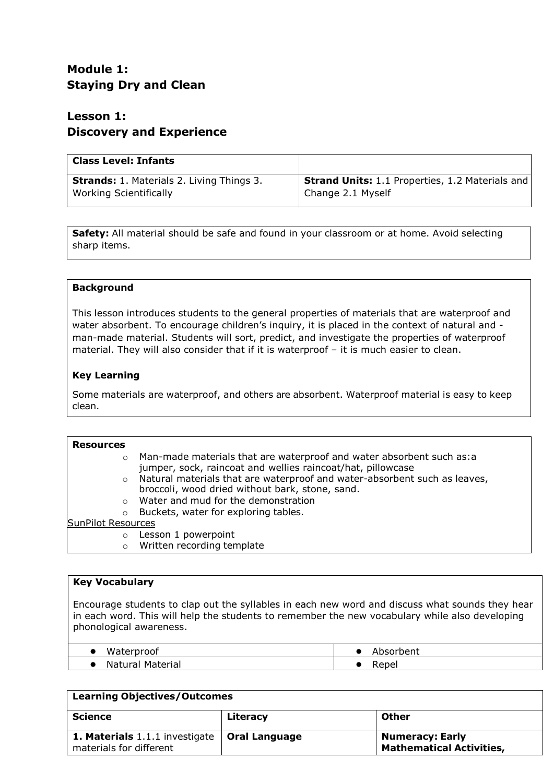# **Module 1: Staying Dry and Clean**

# **Lesson 1: Discovery and Experience**

| <b>Class Level: Infants</b>                      |                                                        |
|--------------------------------------------------|--------------------------------------------------------|
| <b>Strands:</b> 1. Materials 2. Living Things 3. | <b>Strand Units:</b> 1.1 Properties, 1.2 Materials and |
| Working Scientifically                           | Change 2.1 Myself                                      |

**Safety:** All material should be safe and found in your classroom or at home. Avoid selecting sharp items.

# **Background**

This lesson introduces students to the general properties of materials that are waterproof and water absorbent. To encourage children's inquiry, it is placed in the context of natural and man-made material. Students will sort, predict, and investigate the properties of waterproof material. They will also consider that if it is waterproof – it is much easier to clean.

# **Key Learning**

Some materials are waterproof, and others are absorbent. Waterproof material is easy to keep clean.

| <b>Resources</b>          |                                                                                                                                     |
|---------------------------|-------------------------------------------------------------------------------------------------------------------------------------|
| $\circ$                   | Man-made materials that are waterproof and water absorbent such as:a<br>jumper, sock, raincoat and wellies raincoat/hat, pillowcase |
|                           | o Natural materials that are waterproof and water-absorbent such as leaves,<br>broccoli, wood dried without bark, stone, sand.      |
| $\Omega$                  | Water and mud for the demonstration                                                                                                 |
| $\circ$                   | Buckets, water for exploring tables.                                                                                                |
| <b>SunPilot Resources</b> |                                                                                                                                     |
| $\circ$                   | Lesson 1 powerpoint                                                                                                                 |
| O                         | Written recording template                                                                                                          |

# **Key Vocabulary**

Encourage students to clap out the syllables in each new word and discuss what sounds they hear in each word. This will help the students to remember the new vocabulary while also developing phonological awareness.

| Waterproof          | ،bsorbent |
|---------------------|-----------|
| Material<br>Natural | रepel     |

### **Learning Objectives/Outcomes Science Literacy Other 1. Materials** 1.1.1 investigate materials for different **Oral Language Numeracy: Early Mathematical Activities,**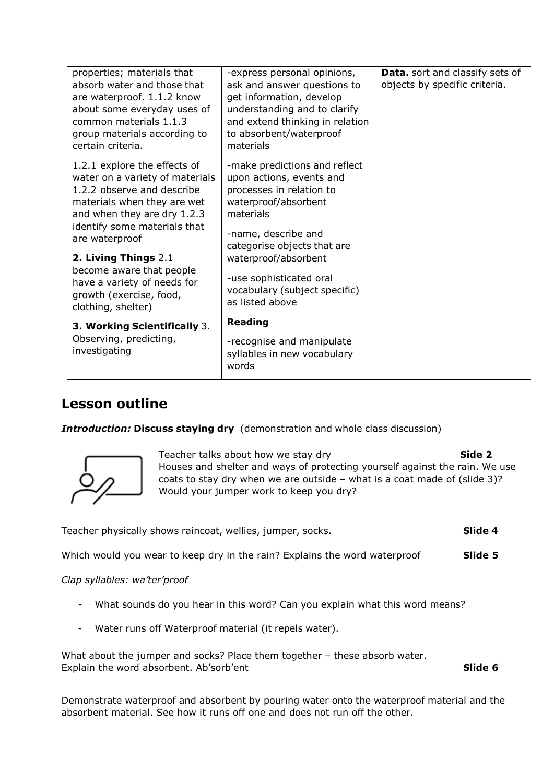| properties; materials that<br>absorb water and those that<br>are waterproof. 1.1.2 know<br>about some everyday uses of<br>common materials 1.1.3<br>group materials according to<br>certain criteria.                                                                                                                                             | -express personal opinions,<br>ask and answer questions to<br>get information, develop<br>understanding and to clarify<br>and extend thinking in relation<br>to absorbent/waterproof<br>materials                                                                                       | Data. sort and classify sets of<br>objects by specific criteria. |
|---------------------------------------------------------------------------------------------------------------------------------------------------------------------------------------------------------------------------------------------------------------------------------------------------------------------------------------------------|-----------------------------------------------------------------------------------------------------------------------------------------------------------------------------------------------------------------------------------------------------------------------------------------|------------------------------------------------------------------|
| 1.2.1 explore the effects of<br>water on a variety of materials<br>1.2.2 observe and describe<br>materials when they are wet<br>and when they are dry 1.2.3<br>identify some materials that<br>are waterproof<br>2. Living Things 2.1<br>become aware that people<br>have a variety of needs for<br>growth (exercise, food,<br>clothing, shelter) | -make predictions and reflect<br>upon actions, events and<br>processes in relation to<br>waterproof/absorbent<br>materials<br>-name, describe and<br>categorise objects that are<br>waterproof/absorbent<br>-use sophisticated oral<br>vocabulary (subject specific)<br>as listed above |                                                                  |
| <b>3. Working Scientifically 3.</b><br>Observing, predicting,<br>investigating                                                                                                                                                                                                                                                                    | <b>Reading</b><br>-recognise and manipulate<br>syllables in new vocabulary<br>words                                                                                                                                                                                                     |                                                                  |

# **Lesson outline**

*Introduction:* **Discuss staying dry** (demonstration and whole class discussion)



Teacher talks about how we stay dry **Side 2 Side 2** Houses and shelter and ways of protecting yourself against the rain. We use coats to stay dry when we are outside – what is a coat made of (slide 3)? Would your jumper work to keep you dry?

Teacher physically shows raincoat, wellies, jumper, socks. **Slide 4**

Which would you wear to keep dry in the rain? Explains the word waterproof **Slide 5**

*Clap syllables: wa'ter'proof*

- What sounds do you hear in this word? Can you explain what this word means?
- Water runs off Waterproof material (it repels water).

What about the jumper and socks? Place them together – these absorb water. Explain the word absorbent. Ab'sorb'ent **Slide 6** and Solide 6

Demonstrate waterproof and absorbent by pouring water onto the waterproof material and the absorbent material. See how it runs off one and does not run off the other.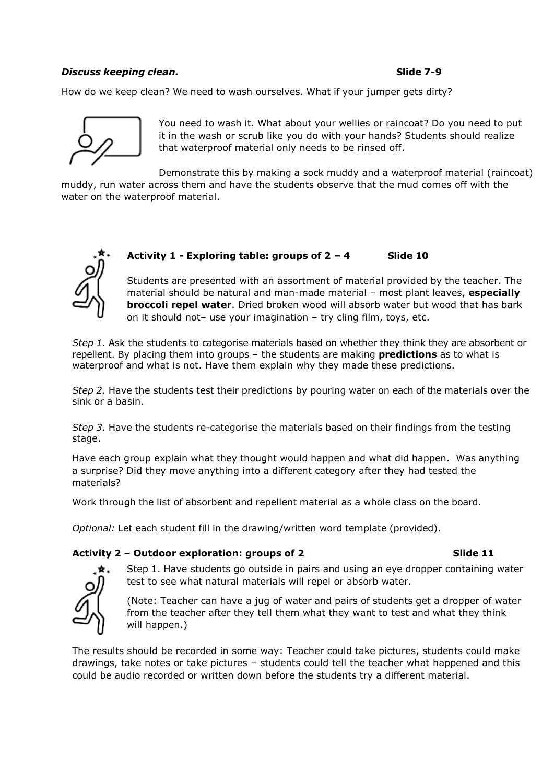# **Discuss keeping clean. Slide** 7-9

How do we keep clean? We need to wash ourselves. What if your jumper gets dirty?



You need to wash it. What about your wellies or raincoat? Do you need to put it in the wash or scrub like you do with your hands? Students should realize that waterproof material only needs to be rinsed off.

Demonstrate this by making a sock muddy and a waterproof material (raincoat) muddy, run water across them and have the students observe that the mud comes off with the water on the waterproof material.

# **Activity 1 - Exploring table: groups of 2 – 4 Slide 10**

Students are presented with an assortment of material provided by the teacher. The material should be natural and man-made material – most plant leaves, **especially broccoli repel water**. Dried broken wood will absorb water but wood that has bark on it should not– use your imagination – try cling film, toys, etc.

*Step 1.* Ask the students to categorise materials based on whether they think they are absorbent or repellent. By placing them into groups – the students are making **predictions** as to what is waterproof and what is not. Have them explain why they made these predictions.

*Step 2.* Have the students test their predictions by pouring water on each of the materials over the sink or a basin.

*Step 3.* Have the students re-categorise the materials based on their findings from the testing stage.

Have each group explain what they thought would happen and what did happen. Was anything a surprise? Did they move anything into a different category after they had tested the materials?

Work through the list of absorbent and repellent material as a whole class on the board.

*Optional:* Let each student fill in the drawing/written word template (provided).

# **Activity 2 – Outdoor exploration: groups of 2 Slide 11**



Step 1. Have students go outside in pairs and using an eye dropper containing water test to see what natural materials will repel or absorb water.

(Note: Teacher can have a jug of water and pairs of students get a dropper of water from the teacher after they tell them what they want to test and what they think will happen.)

The results should be recorded in some way: Teacher could take pictures, students could make drawings, take notes or take pictures – students could tell the teacher what happened and this could be audio recorded or written down before the students try a different material.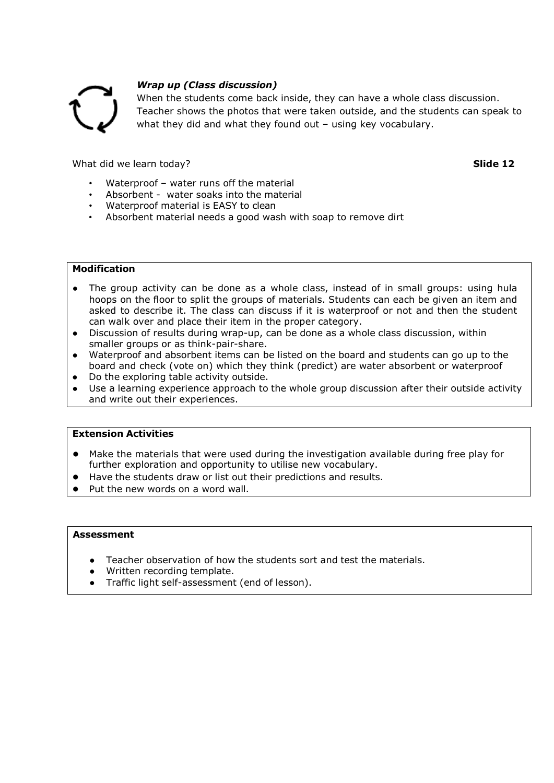

# *Wrap up (Class discussion)*

When the students come back inside, they can have a whole class discussion. Teacher shows the photos that were taken outside, and the students can speak to what they did and what they found out – using key vocabulary.

What did we learn today? **Slide 12** and the state of the state of the state of the state of the state of the state of the state of the state of the state of the state of the state of the state of the state of the state of

- Waterproof water runs off the material
- Absorbent water soaks into the material
- Waterproof material is EASY to clean
- Absorbent material needs a good wash with soap to remove dirt

# **Modification**

- The group activity can be done as a whole class, instead of in small groups: using hula hoops on the floor to split the groups of materials. Students can each be given an item and asked to describe it. The class can discuss if it is waterproof or not and then the student can walk over and place their item in the proper category.
- Discussion of results during wrap-up, can be done as a whole class discussion, within smaller groups or as think-pair-share.
- Waterproof and absorbent items can be listed on the board and students can go up to the board and check (vote on) which they think (predict) are water absorbent or waterproof
- Do the exploring table activity outside.
- Use a learning experience approach to the whole group discussion after their outside activity and write out their experiences.

# **Extension Activities**

- Make the materials that were used during the investigation available during free play for further exploration and opportunity to utilise new vocabulary.
- Have the students draw or list out their predictions and results.
- Put the new words on a word wall.

### **Assessment**

- Teacher observation of how the students sort and test the materials.
- Written recording template.
- Traffic light self-assessment (end of lesson).